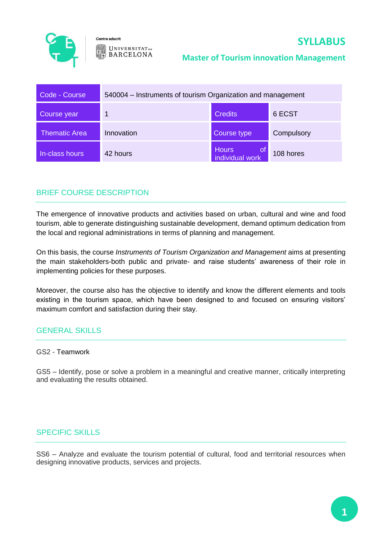



## **Master of Tourism innovation Management**

| Code - Course        | 540004 - Instruments of tourism Organization and management |                                 |            |
|----------------------|-------------------------------------------------------------|---------------------------------|------------|
| Course year          | 1                                                           | <b>Credits</b>                  | 6 ECST     |
| <b>Thematic Area</b> | Innovation                                                  | Course type                     | Compulsory |
| In-class hours       | 42 hours                                                    | <b>Hours</b><br>individual work | 108 hores  |

# BRIEF COURSE DESCRIPTION

The emergence of innovative products and activities based on urban, cultural and wine and food tourism, able to generate distinguishing sustainable development, demand optimum dedication from the local and regional administrations in terms of planning and management.

On this basis, the course *Instruments of Tourism Organization and Management* aims at presenting the main stakeholders-both public and private- and raise students' awareness of their role in implementing policies for these purposes.

Moreover, the course also has the objective to identify and know the different elements and tools existing in the tourism space, which have been designed to and focused on ensuring visitors' maximum comfort and satisfaction during their stay.

## GENERAL SKILLS

GS2 - Teamwork

GS5 – Identify, pose or solve a problem in a meaningful and creative manner, critically interpreting and evaluating the results obtained.

### SPECIFIC SKILLS

SS6 – Analyze and evaluate the tourism potential of cultural, food and territorial resources when designing innovative products, services and projects.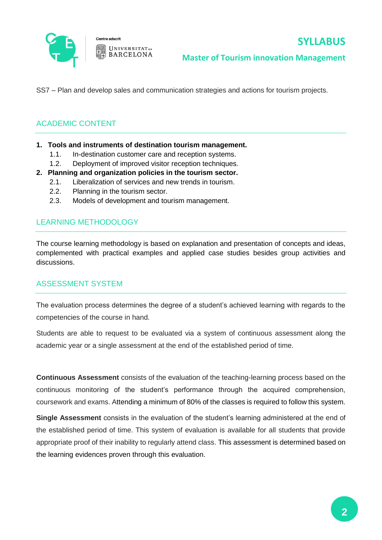

**Master of Tourism innovation Management**

SS7 – Plan and develop sales and communication strategies and actions for tourism projects.

## ACADEMIC CONTENT

- **1. Tools and instruments of destination tourism management.** 
	- 1.1. In-destination customer care and reception systems.
	- 1.2. Deployment of improved visitor reception techniques.
- **2. Planning and organization policies in the tourism sector.**
	- 2.1. Liberalization of services and new trends in tourism.
	- 2.2. Planning in the tourism sector.
	- 2.3. Models of development and tourism management.

## LEARNING METHODOLOGY

The course learning methodology is based on explanation and presentation of concepts and ideas, complemented with practical examples and applied case studies besides group activities and discussions.

### ASSESSMENT SYSTEM

The evaluation process determines the degree of a student's achieved learning with regards to the competencies of the course in hand.

Students are able to request to be evaluated via a system of continuous assessment along the academic year or a single assessment at the end of the established period of time.

**Continuous Assessment** consists of the evaluation of the teaching-learning process based on the continuous monitoring of the student's performance through the acquired comprehension, coursework and exams. Attending a minimum of 80% of the classes is required to follow this system.

**Single Assessment** consists in the evaluation of the student's learning administered at the end of the established period of time. This system of evaluation is available for all students that provide appropriate proof of their inability to regularly attend class. This assessment is determined based on the learning evidences proven through this evaluation.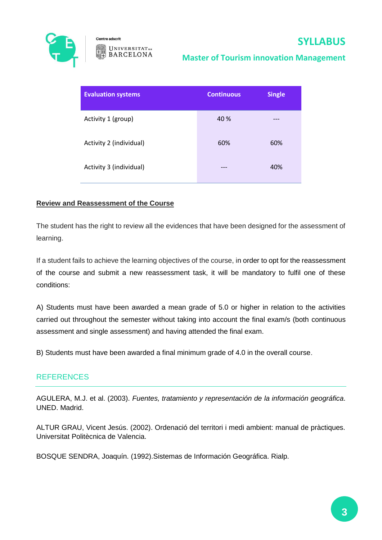

Centre adscrit **UNIVERSITATDE BARCELONA** 

## **Master of Tourism innovation Management**

| <b>Evaluation systems</b> | <b>Continuous</b> | <b>Single</b> |
|---------------------------|-------------------|---------------|
| Activity 1 (group)        | 40 %              | ---           |
| Activity 2 (individual)   | 60%               | 60%           |
| Activity 3 (individual)   | ---               | 40%           |

#### **Review and Reassessment of the Course**

The student has the right to review all the evidences that have been designed for the assessment of learning.

If a student fails to achieve the learning objectives of the course, in order to opt for the reassessment of the course and submit a new reassessment task, it will be mandatory to fulfil one of these conditions:

A) Students must have been awarded a mean grade of 5.0 or higher in relation to the activities carried out throughout the semester without taking into account the final exam/s (both continuous assessment and single assessment) and having attended the final exam.

B) Students must have been awarded a final minimum grade of 4.0 in the overall course.

### **REFERENCES**

AGULERA, M.J. et al. (2003). *Fuentes, tratamiento y representación de la información geográfica*. UNED. Madrid.

ALTUR GRAU, Vicent Jesús. (2002). Ordenació del territori i medi ambient: manual de pràctiques. Universitat Politècnica de Valencia.

BOSQUE SENDRA, Joaquín. (1992).Sistemas de Información Geográfica. Rialp.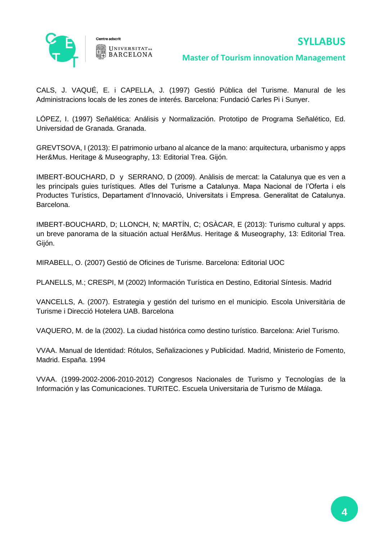

#### **Master of Tourism innovation Management**

CALS, J. VAQUÉ, E. i CAPELLA, J. (1997) Gestió Pública del Turisme. Manural de les Administracions locals de les zones de interés. Barcelona: Fundació Carles Pi i Sunyer.

LÓPEZ, I. (1997) Señalética: Análisis y Normalización. Prototipo de Programa Señalético, Ed. Universidad de Granada. Granada.

GREVTSOVA, I (2013): El patrimonio urbano al alcance de la mano: arquitectura, urbanismo y apps Her&Mus. Heritage & Museography, 13: Editorial Trea. Gijón.

IMBERT-BOUCHARD, D y SERRANO, D (2009). Anàlisis de mercat: la Catalunya que es ven a les principals guies turístiques. Atles del Turisme a Catalunya. Mapa Nacional de l'Oferta i els Productes Turístics, Departament d'Innovació, Universitats i Empresa. Generalitat de Catalunya. Barcelona.

IMBERT-BOUCHARD, D; LLONCH, N; MARTÍN, C; OSÀCAR, E (2013): Turismo cultural y apps. un breve panorama de la situación actual Her&Mus. Heritage & Museography, 13: Editorial Trea. Gijón.

MIRABELL, O. (2007) Gestió de Oficines de Turisme. Barcelona: Editorial UOC

PLANELLS, M.; CRESPI, M (2002) Información Turística en Destino, Editorial Síntesis. Madrid

VANCELLS, A. (2007). Estrategia y gestión del turismo en el municipio. Escola Universitària de Turisme i Direcció Hotelera UAB. Barcelona

VAQUERO, M. de la (2002). La ciudad histórica como destino turístico. Barcelona: Ariel Turismo.

VVAA. Manual de Identidad: Rótulos, Señalizaciones y Publicidad. Madrid, Ministerio de Fomento, Madrid. España. 1994

VVAA. (1999-2002-2006-2010-2012) Congresos Nacionales de Turismo y Tecnologías de la Información y las Comunicaciones. TURITEC. Escuela Universitaria de Turismo de Málaga.